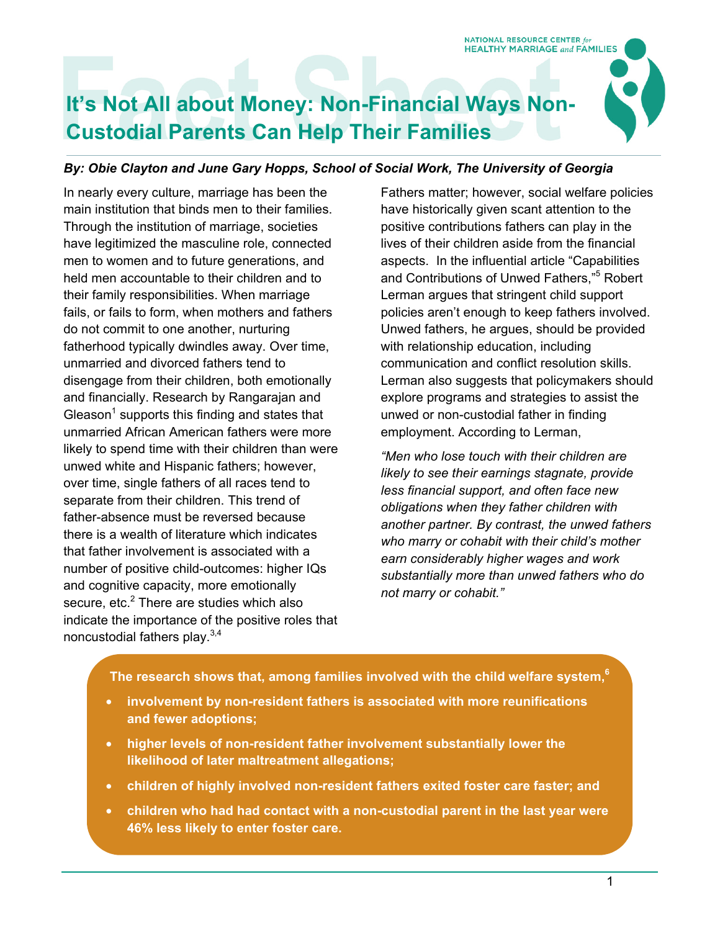NATIONAL RESOURCE CENTER for **HEALTHY MARRIAGE and FAMILIES** 

# **It's Not All about Money: Non-Financial Ways Non-Custodial Parents Can Help Their Families**

#### *By: Obie Clayton and June Gary Hopps, School of Social Work, The University of Georgia*

In nearly every culture, marriage has been the main institution that binds men to their families. Through the institution of marriage, societies have legitimized the masculine role, connected men to women and to future generations, and held men accountable to their children and to their family responsibilities. When marriage fails, or fails to form, when mothers and fathers do not commit to one another, nurturing fatherhood typically dwindles away. Over time, unmarried and divorced fathers tend to disengage from their children, both emotionally and financially. Research by Rangarajan and Gleason<sup>1</sup> supports this finding and states that unmarried African American fathers were more likely to spend time with their children than were unwed white and Hispanic fathers; however, over time, single fathers of all races tend to separate from their children. This trend of father-absence must be reversed because there is a wealth of literature which indicates that father involvement is associated with a number of positive child-outcomes: higher IQs and cognitive capacity, more emotionally secure, etc.<sup>2</sup> There are studies which also indicate the importance of the positive roles that noncustodial fathers play.3,4

Fathers matter; however, social welfare policies have historically given scant attention to the positive contributions fathers can play in the lives of their children aside from the financial aspects. In the influential article "Capabilities and Contributions of Unwed Fathers,"<sup>5</sup> Robert Lerman argues that stringent child support policies aren't enough to keep fathers involved. Unwed fathers, he argues, should be provided with relationship education, including communication and conflict resolution skills. Lerman also suggests that policymakers should explore programs and strategies to assist the unwed or non-custodial father in finding employment. According to Lerman,

*"Men who lose touch with their children are likely to see their earnings stagnate, provide less financial support, and often face new obligations when they father children with another partner. By contrast, the unwed fathers who marry or cohabit with their child's mother earn considerably higher wages and work substantially more than unwed fathers who do not marry or cohabit."* 

#### **The research shows that, among families involved with the child welfare system,6**

- **involvement by non-resident fathers is associated with more reunifications and fewer adoptions;**
- **higher levels of non-resident father involvement substantially lower the likelihood of later maltreatment allegations;**
- **children of highly involved non-resident fathers exited foster care faster; and**
- **children who had had contact with a non-custodial parent in the last year were 46% less likely to enter foster care.**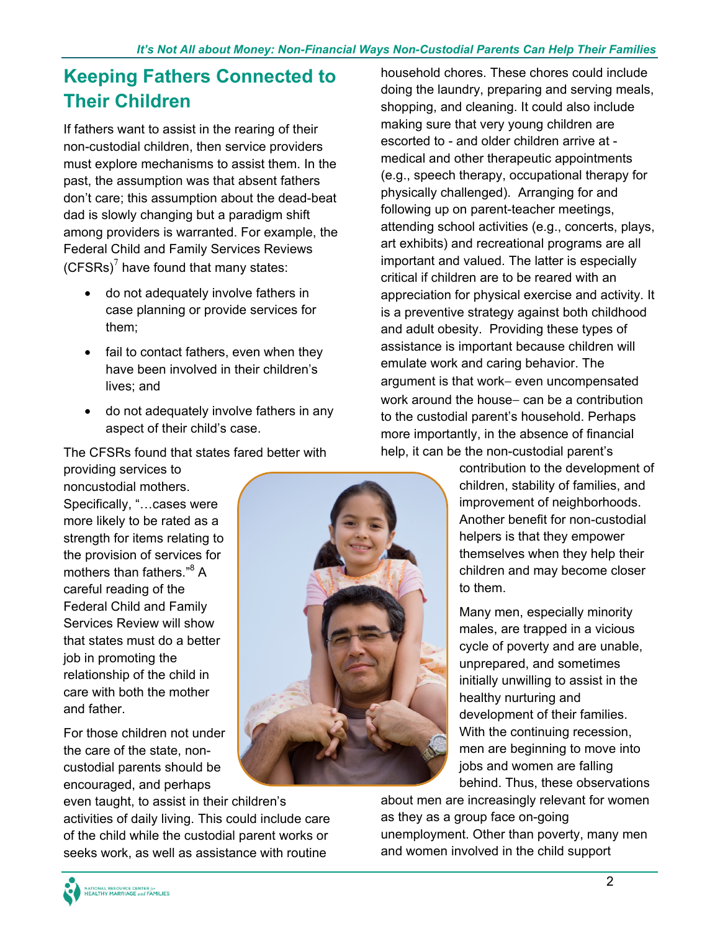## **Keeping Fathers Connected to Their Children**

If fathers want to assist in the rearing of their non-custodial children, then service providers must explore mechanisms to assist them. In the past, the assumption was that absent fathers don't care; this assumption about the dead-beat dad is slowly changing but a paradigm shift among providers is warranted. For example, the Federal Child and Family Services Reviews (CFSRs) $<sup>7</sup>$  have found that many states:</sup>

- do not adequately involve fathers in case planning or provide services for them;
- fail to contact fathers, even when they have been involved in their children's lives; and
- do not adequately involve fathers in any aspect of their child's case.

The CFSRs found that states fared better with

providing services to noncustodial mothers. Specifically, "…cases were more likely to be rated as a strength for items relating to the provision of services for mothers than fathers."<sup>8</sup> A careful reading of the Federal Child and Family Services Review will show that states must do a better job in promoting the relationship of the child in care with both the mother and father.

For those children not under the care of the state, noncustodial parents should be encouraged, and perhaps

even taught, to assist in their children's activities of daily living. This could include care of the child while the custodial parent works or seeks work, as well as assistance with routine

household chores. These chores could include doing the laundry, preparing and serving meals, shopping, and cleaning. It could also include making sure that very young children are escorted to - and older children arrive at medical and other therapeutic appointments (e.g., speech therapy, occupational therapy for physically challenged). Arranging for and following up on parent-teacher meetings, attending school activities (e.g., concerts, plays, art exhibits) and recreational programs are all important and valued. The latter is especially critical if children are to be reared with an appreciation for physical exercise and activity. It is a preventive strategy against both childhood and adult obesity. Providing these types of assistance is important because children will emulate work and caring behavior. The argument is that work- even uncompensated work around the house- can be a contribution to the custodial parent's household. Perhaps more importantly, in the absence of financial help, it can be the non-custodial parent's

> contribution to the development of children, stability of families, and improvement of neighborhoods. Another benefit for non-custodial helpers is that they empower themselves when they help their children and may become closer to them.

Many men, especially minority males, are trapped in a vicious cycle of poverty and are unable, unprepared, and sometimes initially unwilling to assist in the healthy nurturing and development of their families. With the continuing recession, men are beginning to move into jobs and women are falling behind. Thus, these observations

about men are increasingly relevant for women as they as a group face on-going unemployment. Other than poverty, many men and women involved in the child support



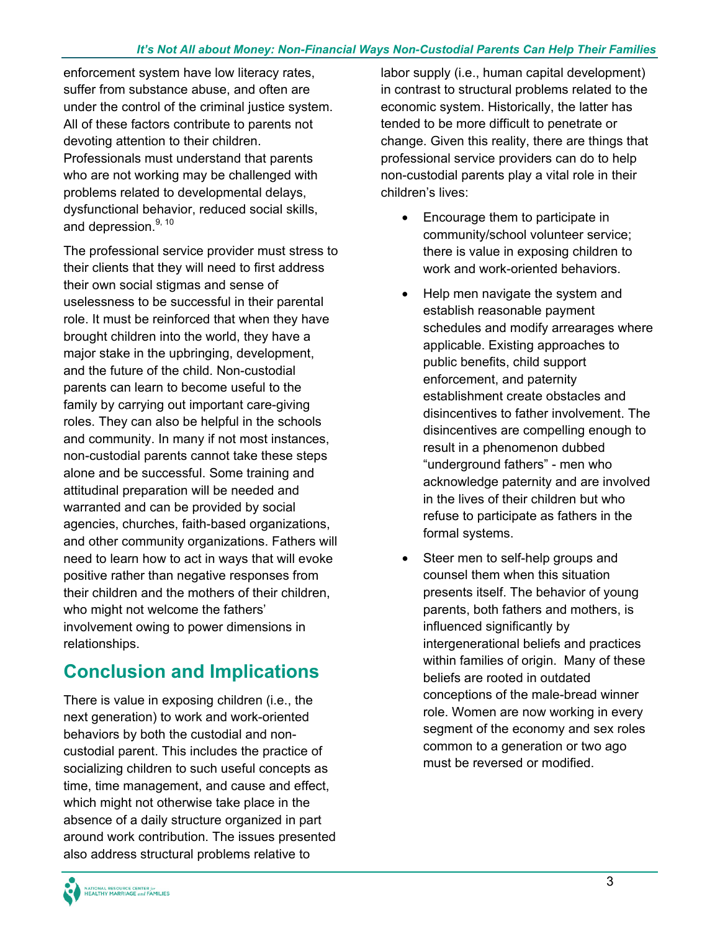enforcement system have low literacy rates, suffer from substance abuse, and often are under the control of the criminal justice system. All of these factors contribute to parents not devoting attention to their children. Professionals must understand that parents who are not working may be challenged with problems related to developmental delays, dysfunctional behavior, reduced social skills, and depression.<sup>9, 10</sup>

The professional service provider must stress to their clients that they will need to first address their own social stigmas and sense of uselessness to be successful in their parental role. It must be reinforced that when they have brought children into the world, they have a major stake in the upbringing, development, and the future of the child. Non-custodial parents can learn to become useful to the family by carrying out important care-giving roles. They can also be helpful in the schools and community. In many if not most instances, non-custodial parents cannot take these steps alone and be successful. Some training and attitudinal preparation will be needed and warranted and can be provided by social agencies, churches, faith-based organizations, and other community organizations. Fathers will need to learn how to act in ways that will evoke positive rather than negative responses from their children and the mothers of their children, who might not welcome the fathers' involvement owing to power dimensions in relationships.

### **Conclusion and Implications**

There is value in exposing children (i.e., the next generation) to work and work-oriented behaviors by both the custodial and noncustodial parent. This includes the practice of socializing children to such useful concepts as time, time management, and cause and effect, which might not otherwise take place in the absence of a daily structure organized in part around work contribution. The issues presented also address structural problems relative to

labor supply (i.e., human capital development) in contrast to structural problems related to the economic system. Historically, the latter has tended to be more difficult to penetrate or change. Given this reality, there are things that professional service providers can do to help non-custodial parents play a vital role in their children's lives:

- Encourage them to participate in community/school volunteer service; there is value in exposing children to work and work-oriented behaviors.
- Help men navigate the system and establish reasonable payment schedules and modify arrearages where applicable. Existing approaches to public benefits, child support enforcement, and paternity establishment create obstacles and disincentives to father involvement. The disincentives are compelling enough to result in a phenomenon dubbed "underground fathers" - men who acknowledge paternity and are involved in the lives of their children but who refuse to participate as fathers in the formal systems.
- Steer men to self-help groups and counsel them when this situation presents itself. The behavior of young parents, both fathers and mothers, is influenced significantly by intergenerational beliefs and practices within families of origin. Many of these beliefs are rooted in outdated conceptions of the male-bread winner role. Women are now working in every segment of the economy and sex roles common to a generation or two ago must be reversed or modified.